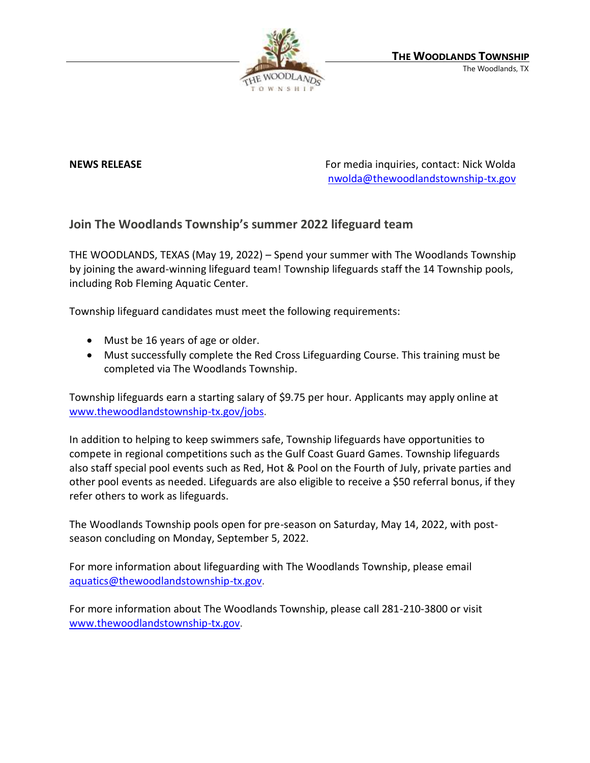

**NEWS RELEASE** For media inquiries, contact: Nick Wolda **NEWS** RELEASE [nwolda@thewoodlandstownship-tx.gov](mailto:nwolda@thewoodlandstownship-tx.gov)

## **Join The Woodlands Township's summer 2022 lifeguard team**

THE WOODLANDS, TEXAS (May 19, 2022) – Spend your summer with The Woodlands Township by joining the award-winning lifeguard team! Township lifeguards staff the 14 Township pools, including Rob Fleming Aquatic Center.

Township lifeguard candidates must meet the following requirements:

- Must be 16 years of age or older.
- Must successfully complete the Red Cross Lifeguarding Course. This training must be completed via The Woodlands Township.

Township lifeguards earn a starting salary of \$9.75 per hour. Applicants may apply online at [www.thewoodlandstownship-tx.gov/jobs.](http://www.thewoodlandstownship-tx.gov/jobs)

In addition to helping to keep swimmers safe, Township lifeguards have opportunities to compete in regional competitions such as the Gulf Coast Guard Games. Township lifeguards also staff special pool events such as Red, Hot & Pool on the Fourth of July, private parties and other pool events as needed. Lifeguards are also eligible to receive a \$50 referral bonus, if they refer others to work as lifeguards.

The Woodlands Township pools open for pre-season on Saturday, May 14, 2022, with postseason concluding on Monday, September 5, 2022.

For more information about lifeguarding with The Woodlands Township, please email [aquatics@thewoodlandstownship-tx.gov.](mailto:aquatics@thewoodlandstownship-tx.gov)

For more information about The Woodlands Township, please call 281-210-3800 or visit [www.thewoodlandstownship-tx.gov.](http://www.thewoodlandstownship-tx.gov/)